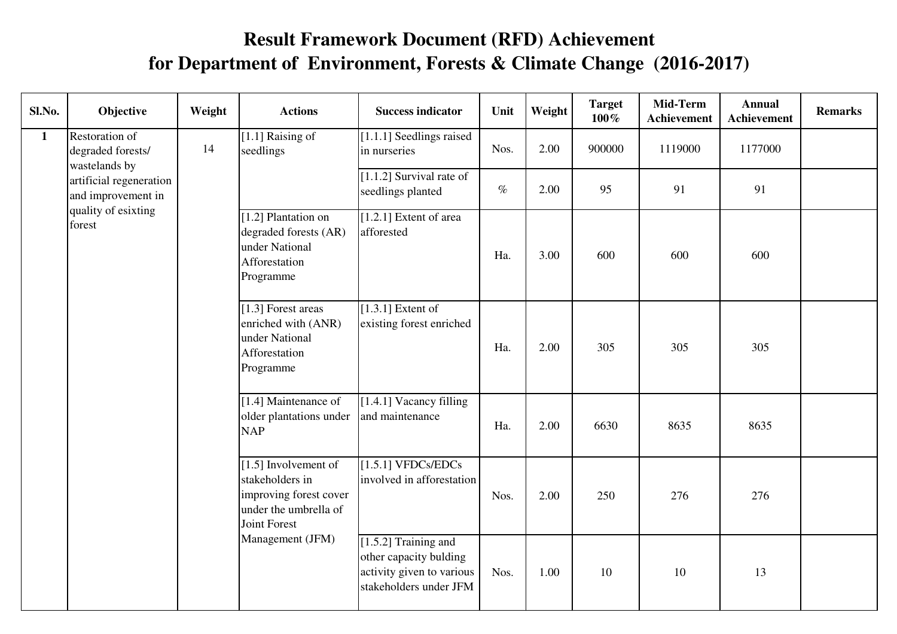## **Result Framework Document (RFD) Achievement for Department of Environment, Forests & Climate Change (2016-2017)**

| Sl.No.       | Objective                                            | Weight | <b>Actions</b>                                                                                               | <b>Success indicator</b>                                                                                | Unit | Weight | <b>Target</b><br>$100\%$ | Mid-Term<br>Achievement | <b>Annual</b><br><b>Achievement</b> | <b>Remarks</b> |
|--------------|------------------------------------------------------|--------|--------------------------------------------------------------------------------------------------------------|---------------------------------------------------------------------------------------------------------|------|--------|--------------------------|-------------------------|-------------------------------------|----------------|
| $\mathbf{1}$ | Restoration of<br>degraded forests/<br>wastelands by | 14     | [1.1] Raising of<br>seedlings                                                                                | [1.1.1] Seedlings raised<br>in nurseries                                                                | Nos. | 2.00   | 900000                   | 1119000                 | 1177000                             |                |
|              | artificial regeneration<br>and improvement in        |        |                                                                                                              | $[1.1.2]$ Survival rate of<br>seedlings planted                                                         | $\%$ | 2.00   | 95                       | 91                      | 91                                  |                |
|              | quality of esixting<br>forest                        |        | [1.2] Plantation on<br>degraded forests (AR)<br>under National<br>Afforestation<br>Programme                 | $[1.2.1]$ Extent of area<br>afforested                                                                  | Ha.  | 3.00   | 600                      | 600                     | 600                                 |                |
|              |                                                      |        | [1.3] Forest areas<br>enriched with (ANR)<br>under National<br>Afforestation<br>Programme                    | $[1.3.1]$ Extent of<br>existing forest enriched                                                         | Ha.  | 2.00   | 305                      | 305                     | 305                                 |                |
|              |                                                      |        | [1.4] Maintenance of<br>older plantations under<br><b>NAP</b>                                                | [1.4.1] Vacancy filling<br>and maintenance                                                              | Ha.  | 2.00   | 6630                     | 8635                    | 8635                                |                |
|              |                                                      |        | $[1.5]$ Involvement of<br>stakeholders in<br>improving forest cover<br>under the umbrella of<br>Joint Forest | [1.5.1] VFDCs/EDCs<br>involved in afforestation                                                         | Nos. | 2.00   | 250                      | 276                     | 276                                 |                |
|              |                                                      |        | Management (JFM)                                                                                             | $[1.5.2]$ Training and<br>other capacity bulding<br>activity given to various<br>stakeholders under JFM | Nos. | 1.00   | 10                       | 10                      | 13                                  |                |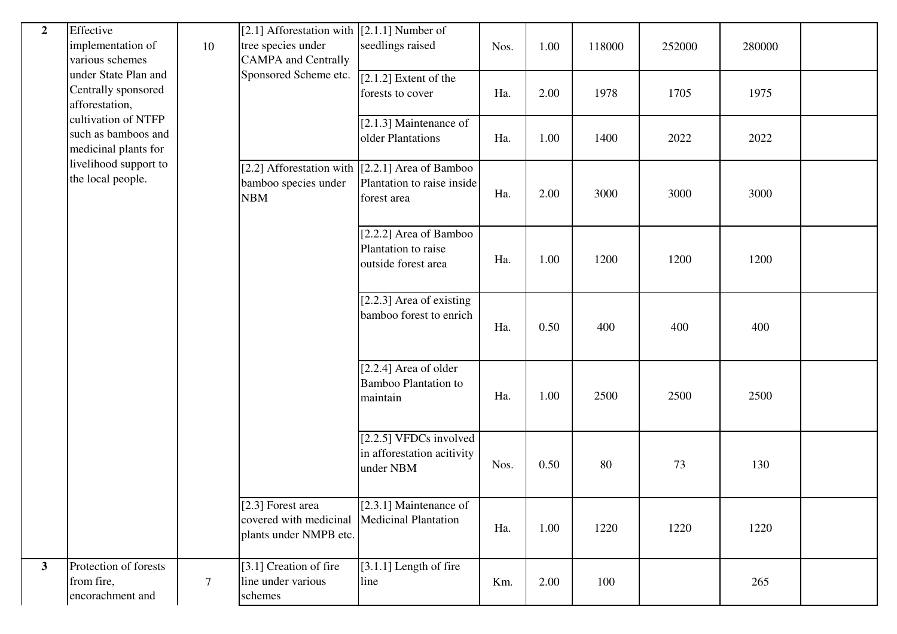| $\overline{2}$ | Effective<br>implementation of<br>various schemes                  | 10              | [2.1] Afforestation with $(2.1.1)$ Number of<br>tree species under<br><b>CAMPA</b> and Centrally | seedlings raised                                                                               | Nos. | 1.00 | 118000 | 252000 | 280000 |  |
|----------------|--------------------------------------------------------------------|-----------------|--------------------------------------------------------------------------------------------------|------------------------------------------------------------------------------------------------|------|------|--------|--------|--------|--|
|                | under State Plan and<br>Centrally sponsored<br>afforestation,      |                 | Sponsored Scheme etc.                                                                            | $[2.1.2]$ Extent of the<br>forests to cover                                                    | Ha.  | 2.00 | 1978   | 1705   | 1975   |  |
|                | cultivation of NTFP<br>such as bamboos and<br>medicinal plants for |                 |                                                                                                  | $[2.1.3]$ Maintenance of<br>older Plantations                                                  | Ha.  | 1.00 | 1400   | 2022   | 2022   |  |
|                | livelihood support to<br>the local people.                         |                 | bamboo species under<br><b>NBM</b>                                                               | [2.2] Afforestation with $[2.2.1]$ Area of Bamboo<br>Plantation to raise inside<br>forest area | Ha.  | 2.00 | 3000   | 3000   | 3000   |  |
|                |                                                                    |                 |                                                                                                  | [2.2.2] Area of Bamboo<br>Plantation to raise<br>outside forest area                           | Ha.  | 1.00 | 1200   | 1200   | 1200   |  |
|                |                                                                    |                 |                                                                                                  | $[2.2.3]$ Area of existing<br>bamboo forest to enrich                                          | Ha.  | 0.50 | 400    | 400    | 400    |  |
|                |                                                                    |                 |                                                                                                  | $[2.2.4]$ Area of older<br><b>Bamboo Plantation to</b><br>maintain                             | Ha.  | 1.00 | 2500   | 2500   | 2500   |  |
|                |                                                                    |                 |                                                                                                  | $[2.2.5]$ VFDCs involved<br>in afforestation acitivity<br>under NBM                            | Nos. | 0.50 | 80     | 73     | 130    |  |
|                |                                                                    |                 | [2.3] Forest area<br>covered with medicinal<br>plants under NMPB etc.                            | [2.3.1] Maintenance of<br><b>Medicinal Plantation</b>                                          | Ha.  | 1.00 | 1220   | 1220   | 1220   |  |
| $\mathbf{3}$   | Protection of forests<br>from fire,<br>encorachment and            | $7\phantom{.0}$ | [3.1] Creation of fire<br>line under various<br>schemes                                          | $[3.1.1]$ Length of fire<br>line                                                               | Km.  | 2.00 | 100    |        | 265    |  |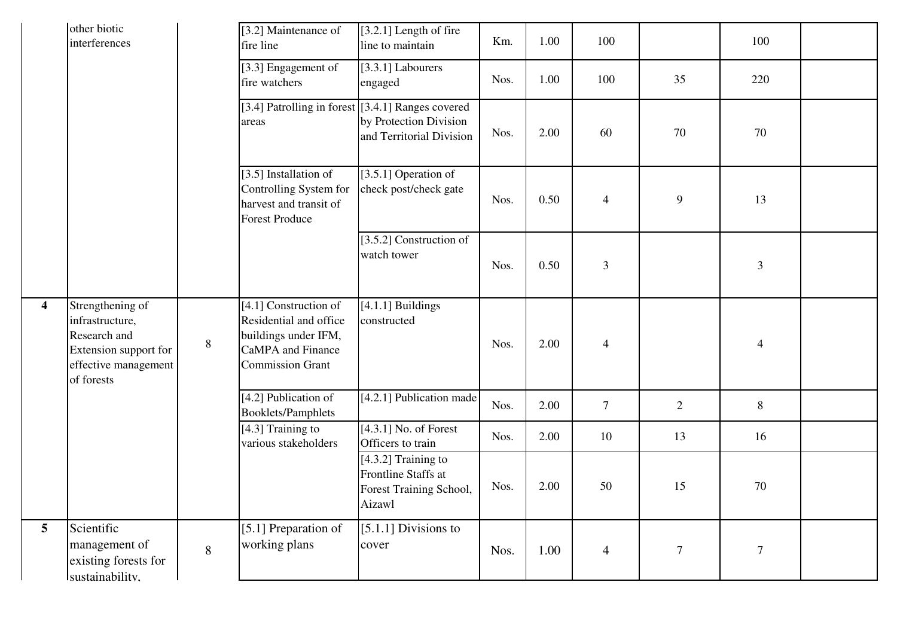|                         | other biotic<br>interferences                                                                                      |       | [3.2] Maintenance of<br>fire line                                                                                       | [3.2.1] Length of fire<br>line to maintain                                        | Km.  | 1.00 | 100            |                | 100            |  |
|-------------------------|--------------------------------------------------------------------------------------------------------------------|-------|-------------------------------------------------------------------------------------------------------------------------|-----------------------------------------------------------------------------------|------|------|----------------|----------------|----------------|--|
|                         |                                                                                                                    |       | $\overline{[3.3]}$ Engagement of<br>fire watchers                                                                       | [3.3.1] Labourers<br>engaged                                                      | Nos. | 1.00 | 100            | 35             | 220            |  |
|                         |                                                                                                                    |       | [3.4] Patrolling in forest [3.4.1] Ranges covered<br>areas                                                              | by Protection Division<br>and Territorial Division                                | Nos. | 2.00 | 60             | 70             | 70             |  |
|                         |                                                                                                                    |       | [3.5] Installation of<br>Controlling System for<br>harvest and transit of<br><b>Forest Produce</b>                      | [3.5.1] Operation of<br>check post/check gate                                     | Nos. | 0.50 | $\overline{4}$ | 9              | 13             |  |
|                         |                                                                                                                    |       |                                                                                                                         | [3.5.2] Construction of<br>watch tower                                            | Nos. | 0.50 | $\mathfrak{Z}$ |                | $\mathfrak{Z}$ |  |
| $\overline{\mathbf{4}}$ | Strengthening of<br>infrastructure,<br>Research and<br>Extension support for<br>effective management<br>of forests | $8\,$ | [4.1] Construction of<br>Residential and office<br>buildings under IFM,<br>CaMPA and Finance<br><b>Commission Grant</b> | $[4.1.1]$ Buildings<br>constructed                                                | Nos. | 2.00 | $\overline{4}$ |                | $\overline{4}$ |  |
|                         |                                                                                                                    |       | [4.2] Publication of<br><b>Booklets/Pamphlets</b>                                                                       | [4.2.1] Publication made                                                          | Nos. | 2.00 | $\tau$         | $\overline{2}$ | 8              |  |
|                         |                                                                                                                    |       | [4.3] Training to<br>various stakeholders                                                                               | $[4.3.1]$ No. of Forest<br>Officers to train                                      | Nos. | 2.00 | 10             | 13             | 16             |  |
|                         |                                                                                                                    |       |                                                                                                                         | $[4.3.2]$ Training to<br>Frontline Staffs at<br>Forest Training School,<br>Aizawl | Nos. | 2.00 | 50             | 15             | 70             |  |
| $\overline{\mathbf{5}}$ | Scientific<br>management of<br>existing forests for<br>Isustainability.                                            | 8     | [5.1] Preparation of<br>working plans                                                                                   | [ $5.1.1$ ] Divisions to<br>cover                                                 | Nos. | 1.00 | $\overline{4}$ | $\tau$         | $\tau$         |  |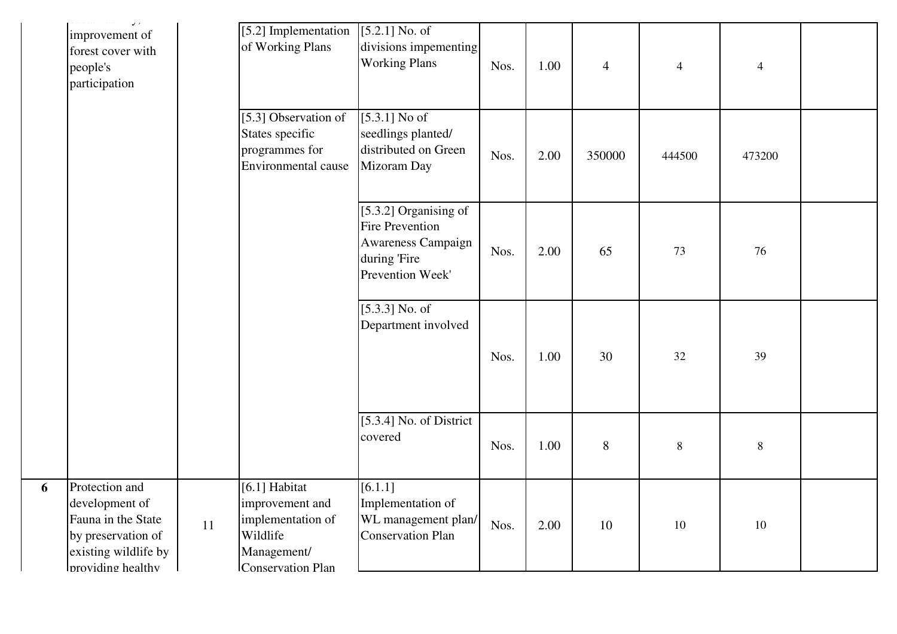| $\mathcal{L}_{\mathcal{F}}$ and $\mathcal{L}_{\mathcal{F}}$ are $\mathcal{L}_{\mathcal{F}}$ . In the contribution<br>$\overline{u}$<br>improvement of<br>forest cover with<br>people's<br>participation |    | [5.2] Implementation<br>of Working Plans                                                              | $[5.2.1]$ No. of<br>divisions impementing<br><b>Working Plans</b>                                         | Nos. | 1.00 | $\overline{4}$ | $\overline{4}$ | $\overline{4}$ |  |
|---------------------------------------------------------------------------------------------------------------------------------------------------------------------------------------------------------|----|-------------------------------------------------------------------------------------------------------|-----------------------------------------------------------------------------------------------------------|------|------|----------------|----------------|----------------|--|
|                                                                                                                                                                                                         |    | [5.3] Observation of<br>States specific<br>programmes for<br>Environmental cause                      | [5.3.1] No of<br>seedlings planted/<br>distributed on Green<br>Mizoram Day                                | Nos. | 2.00 | 350000         | 444500         | 473200         |  |
|                                                                                                                                                                                                         |    |                                                                                                       | [5.3.2] Organising of<br><b>Fire Prevention</b><br>Awareness Campaign<br>during 'Fire<br>Prevention Week' | Nos. | 2.00 | 65             | 73             | 76             |  |
|                                                                                                                                                                                                         |    |                                                                                                       | $[5.3.3]$ No. of<br>Department involved                                                                   | Nos. | 1.00 | 30             | 32             | 39             |  |
|                                                                                                                                                                                                         |    |                                                                                                       | [5.3.4] No. of District<br>covered                                                                        | Nos. | 1.00 | 8              | $\,8\,$        | $8\,$          |  |
| Protection and<br>development of<br>Fauna in the State<br>by preservation of<br>existing wildlife by<br><b>I</b> providing healthy                                                                      | 11 | [6.1] Habitat<br>improvement and<br>implementation of<br>Wildlife<br>Management/<br>Conservation Plan | [6.1.1]<br>Implementation of<br>WL management plan/<br><b>Conservation Plan</b>                           | Nos. | 2.00 | 10             | 10             | $10\,$         |  |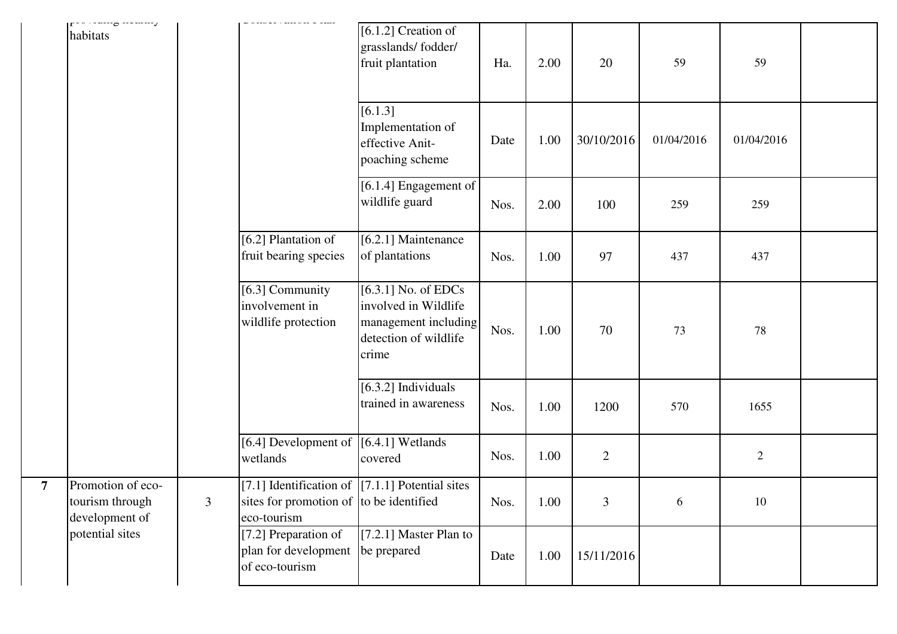| $\mathbf{r}$<br>habitats                               |                |                                                                                                                        | $[6.1.2]$ Creation of<br>grasslands/fodder/<br>fruit plantation                                         | Ha.  | 2.00 | 20             | 59         | 59           |  |
|--------------------------------------------------------|----------------|------------------------------------------------------------------------------------------------------------------------|---------------------------------------------------------------------------------------------------------|------|------|----------------|------------|--------------|--|
|                                                        |                |                                                                                                                        | [6.1.3]<br>Implementation of<br>effective Anit-<br>poaching scheme                                      | Date | 1.00 | 30/10/2016     | 01/04/2016 | 01/04/2016   |  |
|                                                        |                |                                                                                                                        | [6.1.4] Engagement of<br>wildlife guard                                                                 | Nos. | 2.00 | 100            | 259        | 259          |  |
|                                                        |                | [6.2] Plantation of<br>fruit bearing species                                                                           | [6.2.1] Maintenance<br>of plantations                                                                   | Nos. | 1.00 | 97             | 437        | 437          |  |
|                                                        |                | [6.3] Community<br>involvement in<br>wildlife protection                                                               | $[6.3.1]$ No. of EDCs<br>involved in Wildlife<br>management including<br>detection of wildlife<br>crime | Nos. | 1.00 | 70             | 73         | 78           |  |
|                                                        |                |                                                                                                                        | $[6.3.2]$ Individuals<br>trained in awareness                                                           | Nos. | 1.00 | 1200           | 570        | 1655         |  |
|                                                        |                | [6.4] Development of $(6.4.1]$ Wetlands<br>wetlands                                                                    | covered                                                                                                 | Nos. | 1.00 | $\overline{2}$ |            | $\mathbf{2}$ |  |
| Promotion of eco-<br>tourism through<br>development of | $\overline{3}$ | [7.1] Identification of $\left[7.1.1\right]$ Potential sites<br>sites for promotion of to be identified<br>eco-tourism |                                                                                                         | Nos. | 1.00 | 3              | 6          | 10           |  |
| potential sites                                        |                | [7.2] Preparation of<br>plan for development be prepared<br>of eco-tourism                                             | $[7.2.1]$ Master Plan to                                                                                | Date | 1.00 | 15/11/2016     |            |              |  |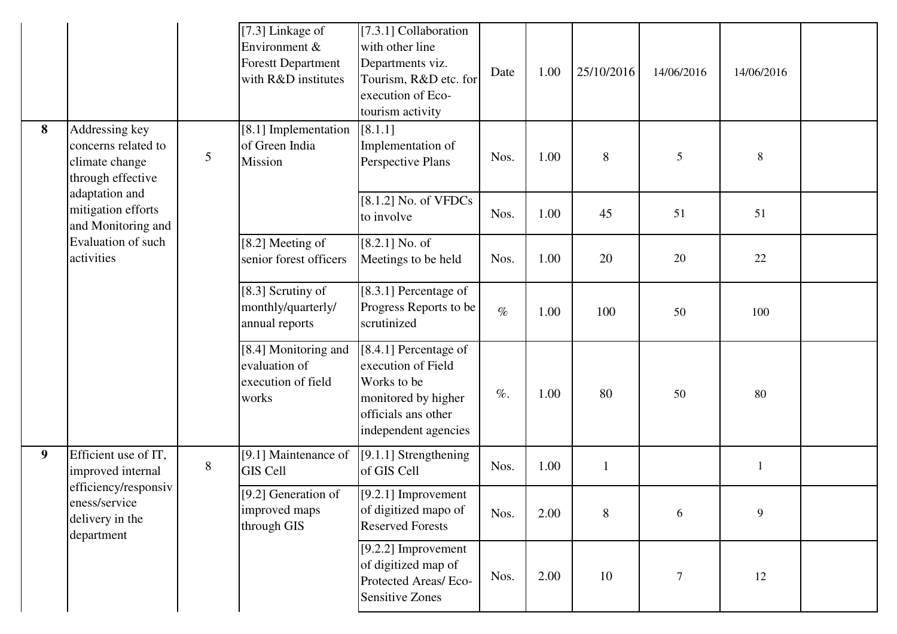|                |                                                                              |                | [7.3] Linkage of<br>Environment &<br><b>Forestt Department</b><br>with R&D institutes | [7.3.1] Collaboration<br>with other line<br>Departments viz.<br>Tourism, R&D etc. for<br>execution of Eco-<br>tourism activity   | Date   | 1.00 | 25/10/2016 | 14/06/2016 | 14/06/2016 |  |
|----------------|------------------------------------------------------------------------------|----------------|---------------------------------------------------------------------------------------|----------------------------------------------------------------------------------------------------------------------------------|--------|------|------------|------------|------------|--|
| 8              | Addressing key<br>concerns related to<br>climate change<br>through effective | $\mathfrak{S}$ | [8.1] Implementation<br>of Green India<br>Mission                                     | [8.1.1]<br>Implementation of<br>Perspective Plans                                                                                | Nos.   | 1.00 | 8          | 5          | $8\,$      |  |
|                | adaptation and<br>mitigation efforts<br>and Monitoring and                   |                |                                                                                       | $[8.1.2]$ No. of VFDCs<br>to involve                                                                                             | Nos.   | 1.00 | 45         | 51         | 51         |  |
|                | Evaluation of such<br>activities                                             |                | [8.2] Meeting of<br>senior forest officers                                            | $[8.2.1]$ No. of<br>Meetings to be held                                                                                          | Nos.   | 1.00 | 20         | 20         | $22\,$     |  |
|                |                                                                              |                | [8.3] Scrutiny of<br>monthly/quarterly/<br>annual reports                             | [8.3.1] Percentage of<br>Progress Reports to be<br>scrutinized                                                                   | $\%$   | 1.00 | 100        | 50         | 100        |  |
|                |                                                                              |                | [8.4] Monitoring and<br>evaluation of<br>execution of field<br>works                  | [8.4.1] Percentage of<br>execution of Field<br>Works to be<br>monitored by higher<br>officials ans other<br>independent agencies | $\%$ . | 1.00 | 80         | 50         | 80         |  |
| 9 <sup>°</sup> | Efficient use of IT,<br>improved internal                                    | $8\,$          | [9.1] Maintenance of<br><b>GIS Cell</b>                                               | [9.1.1] Strengthening<br>of GIS Cell                                                                                             | Nos.   | 1.00 | 1          |            | 1          |  |
|                | efficiency/responsiv<br>eness/service<br>delivery in the<br>department       |                | [9.2] Generation of<br>improved maps<br>through GIS                                   | $[9.2.1]$ Improvement<br>of digitized mapo of<br><b>Reserved Forests</b>                                                         | Nos.   | 2.00 | 8          | 6          | 9          |  |
|                |                                                                              |                |                                                                                       | $[9.2.2]$ Improvement<br>of digitized map of<br>Protected Areas/ Eco-<br><b>Sensitive Zones</b>                                  | Nos.   | 2.00 | 10         | $\tau$     | 12         |  |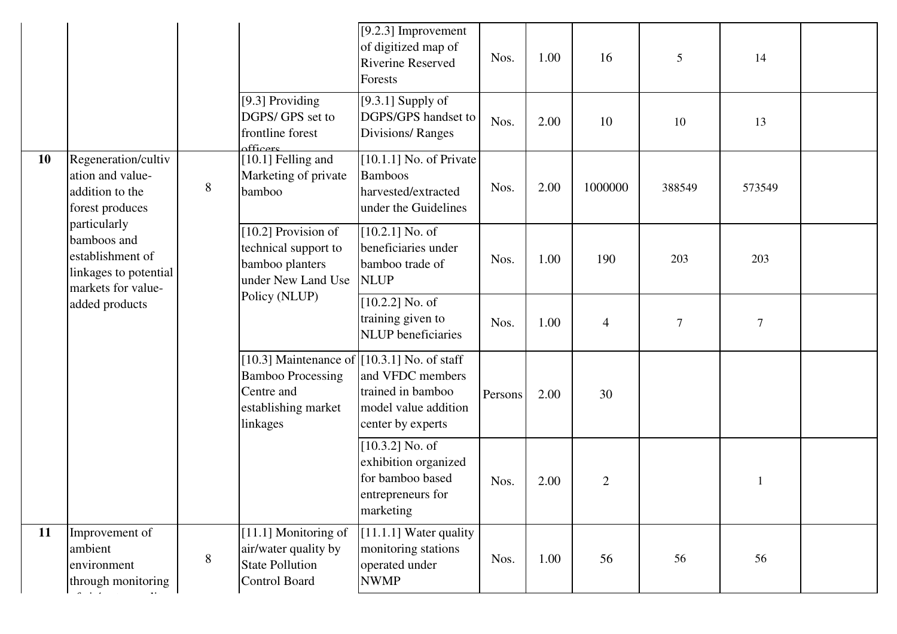|    |                                                                                                |       |                                                                                                                            | [ $9.2.3$ ] Improvement<br>of digitized map of<br><b>Riverine Reserved</b><br>Forests           | Nos.    | 1.00 | 16             | 5                | 14               |  |
|----|------------------------------------------------------------------------------------------------|-------|----------------------------------------------------------------------------------------------------------------------------|-------------------------------------------------------------------------------------------------|---------|------|----------------|------------------|------------------|--|
|    |                                                                                                |       | [9.3] Providing<br>DGPS/ GPS set to<br>frontline forest<br>afficers                                                        | [9.3.1] Supply of<br>DGPS/GPS handset to<br><b>Divisions/Ranges</b>                             | Nos.    | 2.00 | 10             | 10               | 13               |  |
| 10 | Regeneration/cultiv<br>ation and value-<br>addition to the<br>forest produces                  | 8     | [10.1] Felling and<br>Marketing of private<br>bamboo                                                                       | $[10.1.1]$ No. of Private<br><b>Bamboos</b><br>harvested/extracted<br>under the Guidelines      | Nos.    | 2.00 | 1000000        | 388549           | 573549           |  |
|    | particularly<br>bamboos and<br>establishment of<br>linkages to potential<br>markets for value- |       | [10.2] Provision of<br>technical support to<br>bamboo planters<br>under New Land Use                                       | $[10.2.1]$ No. of<br>beneficiaries under<br>bamboo trade of<br><b>NLUP</b>                      | Nos.    | 1.00 | 190            | 203              | 203              |  |
|    | added products                                                                                 |       | Policy (NLUP)                                                                                                              | $[10.2.2]$ No. of<br>training given to<br><b>NLUP</b> beneficiaries                             | Nos.    | 1.00 | $\overline{4}$ | $\boldsymbol{7}$ | $\boldsymbol{7}$ |  |
|    |                                                                                                |       | [10.3] Maintenance of $[10.3.1]$ No. of staff<br><b>Bamboo Processing</b><br>Centre and<br>establishing market<br>linkages | and VFDC members<br>trained in bamboo<br>model value addition<br>center by experts              | Persons | 2.00 | 30             |                  |                  |  |
|    |                                                                                                |       |                                                                                                                            | $[10.3.2]$ No. of<br>exhibition organized<br>for bamboo based<br>entrepreneurs for<br>marketing | Nos.    | 2.00 | $\overline{2}$ |                  |                  |  |
| 11 | Improvement of<br>ambient<br>environment<br>through monitoring<br>$\sigma$ and $\sigma$        | $8\,$ | [11.1] Monitoring of<br>air/water quality by<br><b>State Pollution</b><br>Control Board                                    | $[11.1.1]$ Water quality<br>monitoring stations<br>operated under<br><b>NWMP</b>                | Nos.    | 1.00 | 56             | 56               | 56               |  |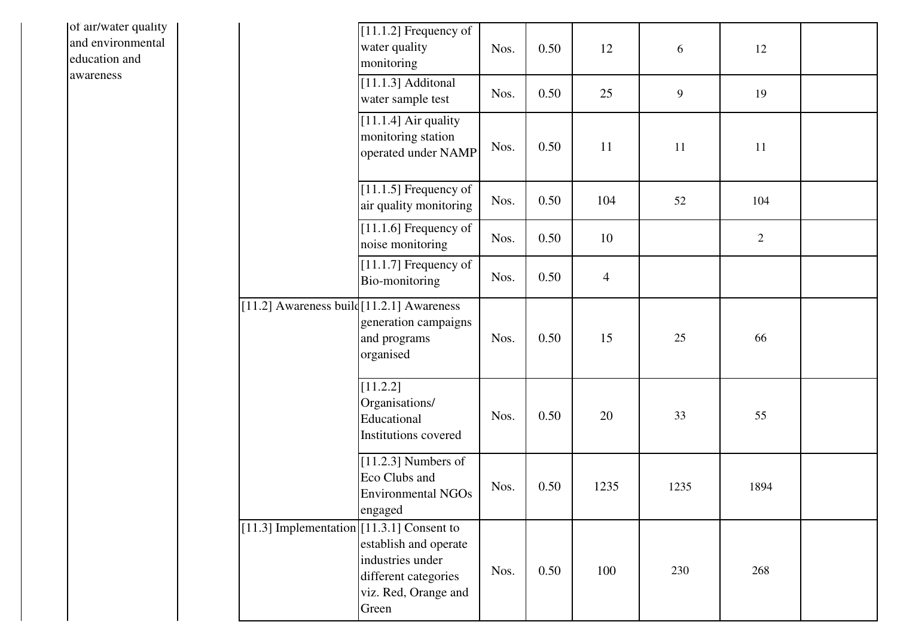| of air/water quality<br>and environmental<br>education and |                                           | $[11.1.2]$ Frequency of<br>water quality<br>monitoring                                             | Nos. | 0.50 | 12             | 6    | 12             |  |
|------------------------------------------------------------|-------------------------------------------|----------------------------------------------------------------------------------------------------|------|------|----------------|------|----------------|--|
| awareness                                                  |                                           | $[11.1.3]$ Additonal<br>water sample test                                                          | Nos. | 0.50 | 25             | 9    | 19             |  |
|                                                            |                                           | $[11.1.4]$ Air quality<br>monitoring station<br>operated under NAMP                                | Nos. | 0.50 | 11             | 11   | 11             |  |
|                                                            |                                           | $[11.1.5]$ Frequency of<br>air quality monitoring                                                  | Nos. | 0.50 | 104            | 52   | 104            |  |
|                                                            |                                           | $[11.1.6]$ Frequency of<br>noise monitoring                                                        | Nos. | 0.50 | 10             |      | $\overline{2}$ |  |
|                                                            |                                           | $[11.1.7]$ Frequency of<br>Bio-monitoring                                                          | Nos. | 0.50 | $\overline{4}$ |      |                |  |
|                                                            | [11.2] Awareness build [11.2.1] Awareness | generation campaigns<br>and programs<br>organised                                                  | Nos. | 0.50 | 15             | 25   | 66             |  |
|                                                            |                                           | [11.2.2]<br>Organisations/<br>Educational<br>Institutions covered                                  | Nos. | 0.50 | 20             | 33   | 55             |  |
|                                                            |                                           | $[11.2.3]$ Numbers of<br>Eco Clubs and<br><b>Environmental NGOs</b><br>engaged                     | Nos. | 0.50 | 1235           | 1235 | 1894           |  |
|                                                            | [11.3] Implementation [11.3.1] Consent to | establish and operate<br>industries under<br>different categories<br>viz. Red, Orange and<br>Green | Nos. | 0.50 | 100            | 230  | 268            |  |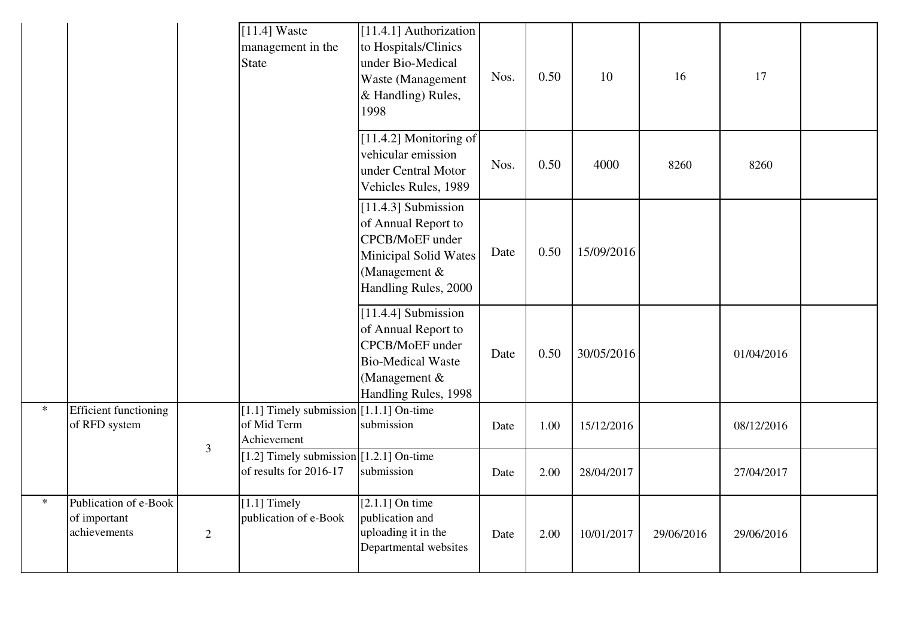|         |                                                       |                | $[11.4]$ Waste<br>management in the<br>State                            | [11.4.1] Authorization<br>to Hospitals/Clinics<br>under Bio-Medical<br>Waste (Management<br>& Handling) Rules,<br>1998             | Nos. | 0.50 | 10         | 16         | 17         |  |
|---------|-------------------------------------------------------|----------------|-------------------------------------------------------------------------|------------------------------------------------------------------------------------------------------------------------------------|------|------|------------|------------|------------|--|
|         |                                                       |                |                                                                         | [11.4.2] Monitoring of<br>vehicular emission<br>under Central Motor<br>Vehicles Rules, 1989                                        | Nos. | 0.50 | 4000       | 8260       | 8260       |  |
|         |                                                       |                |                                                                         | [11.4.3] Submission<br>of Annual Report to<br>CPCB/MoEF under<br>Minicipal Solid Wates<br>(Management $&$<br>Handling Rules, 2000  | Date | 0.50 | 15/09/2016 |            |            |  |
|         |                                                       |                |                                                                         | [11.4.4] Submission<br>of Annual Report to<br>CPCB/MoEF under<br><b>Bio-Medical Waste</b><br>(Management &<br>Handling Rules, 1998 | Date | 0.50 | 30/05/2016 |            | 01/04/2016 |  |
| $\star$ | <b>Efficient functioning</b><br>of RFD system         | $\mathfrak{Z}$ | [1.1] Timely submission $[1.1.1]$ On-time<br>of Mid Term<br>Achievement | submission                                                                                                                         | Date | 1.00 | 15/12/2016 |            | 08/12/2016 |  |
|         |                                                       |                | [1.2] Timely submission $[1.2.1]$ On-time<br>of results for 2016-17     | submission                                                                                                                         | Date | 2.00 | 28/04/2017 |            | 27/04/2017 |  |
| $\ast$  | Publication of e-Book<br>of important<br>achievements | $\overline{2}$ | $[1.1]$ Timely<br>publication of e-Book                                 | $[2.1.1]$ On time<br>publication and<br>uploading it in the<br>Departmental websites                                               | Date | 2.00 | 10/01/2017 | 29/06/2016 | 29/06/2016 |  |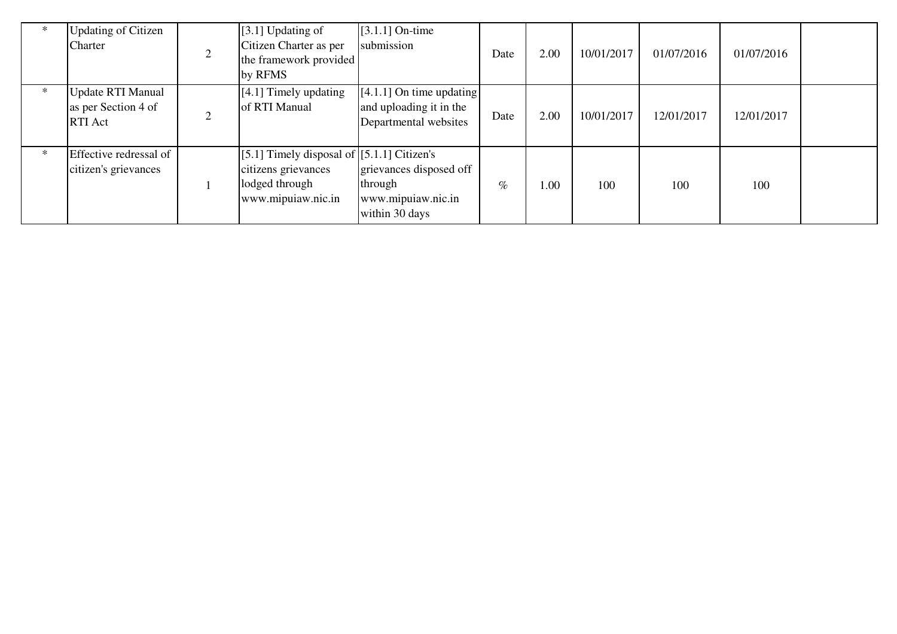|        | <b>Updating of Citizen</b><br>Charter                             | [3.1] Updating of<br>Citizen Charter as per<br>the framework provided<br>by RFMS                            | $[3.1.1]$ On-time<br>submission                                                | Date | 2.00 | 10/01/2017 | 01/07/2016 | 01/07/2016 |  |
|--------|-------------------------------------------------------------------|-------------------------------------------------------------------------------------------------------------|--------------------------------------------------------------------------------|------|------|------------|------------|------------|--|
| $\ast$ | <b>Update RTI Manual</b><br>as per Section 4 of<br><b>RTI</b> Act | $[4.1]$ Timely updating<br>of RTI Manual                                                                    | $[4.1.1]$ On time updating<br>and uploading it in the<br>Departmental websites | Date | 2.00 | 10/01/2017 | 12/01/2017 | 12/01/2017 |  |
| $\ast$ | Effective redressal of<br>citizen's grievances                    | [5.1] Timely disposal of $[5.1.1]$ Citizen's<br>citizens grievances<br>lodged through<br>www.mipuiaw.nic.in | grievances disposed off<br>through<br>www.mipuiaw.nic.in<br>within 30 days     | $\%$ | 1.00 | 100        | 100        | 100        |  |